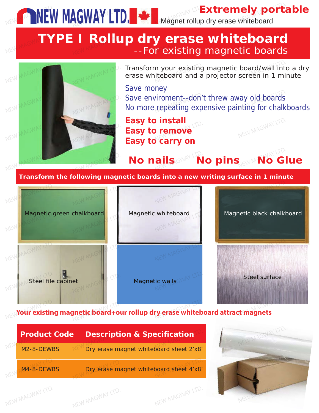**Extremely portable NEW MAGWAY LTD.**  $\cdot$  Magnet rollup dry erase whiteboard

### ig magnetic boards **TYPE I Rollup dry erase whiteboard**<br>For existing magnetic boards--**Example 20 --For existing magnetic boards**



**et** WAGWAY LTD.

NEW MAGWAY LTD.

Steel file cabinet

NEW MACKED STO.

Magnetic green chalkboard Magnetic whiteboard Magnetic black chalkboard Magnetic Black chalkboard Magnetic Black Chalkboard Magnetic whiteboard<br>MAGWAY

> NEW MAGWAY LTD. NEW MAGWAY LTD.

> > Magnetic walls  $\mathsf{R}^\mathsf{R}$ ic walls $\mathbb{S}^\mathbb{N}$ new ma



Magnetic black chalkboard chalkboard

Magnetic black chalkboard

NEW MAGWAY LTD.

ay old boards<br>nting for chalk

**Your existing magnetic board+our rollup dry erase whiteboard attract magnets** 

| <b>Product Code</b>     |                                         | <b>Description &amp; Specification</b> |  |
|-------------------------|-----------------------------------------|----------------------------------------|--|
| M <sub>2</sub> -8-DEWBS | Dry erase magnet whiteboard sheet 2'x8' |                                        |  |
| $M4 - 8 - DFWBS$        | Dry erase magnet whiteboard sheet 4'x8' |                                        |  |

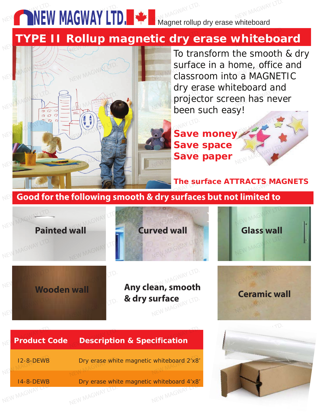## **NEW MAGWAY LID.** THE Magnet rollup dry erase whiteboard NEW **MAGWAY LTD.**

# **TYPE II Rollup magnetic dry erase whiteboard**



To transform the smooth & dry surface in a home, office and<br>Classroom into a MAGNETIC classroom into a MAGNETIC dry erase whiteboard and projector screen has never been such easy! and y erase writteboard and<br>projector screen has nev

**Save money Save space Save paper** NEW MA**Save**  $\mathbb{R}$ NEW MAG

**The surface ATTRACTS MAGNETS**<br> **NEW MAGNETS** 

**Ceramic wall** 

MAGNETIC BLACK CHALKBOARD IS A REAL PROPERTY.<br>NEW Good for the following smooth & dry surfaces but not limited to



NEW MAGNETING

NEW MAGWAY LTD.

NEW MAGWAY LTD.

**Any clean, smooth<br><b>& dry surface** *R* dry surface **Ceramic wall** I**urface**<br>New Ma<sup>gymay LTD.</sup>

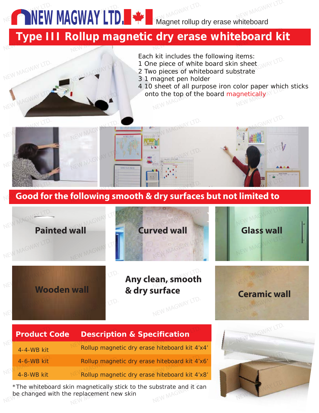**NEW MAGWAY LTD. WEW MAGWAY LTD.** 

# Type III Rollup magnetic dry erase whiteboard kit

NEW MAGWAY LTD.

 $\blacksquare$ 

NEW MAGWAY LTD.

NEW MAGWAY LTD.

Each kit includes the following items:

- 
- Each Kit includes the following fields.<br>1 One piece of white board skin sheet<br>2 Two pieces of whiteboard substrate<br>3 1 magnet pen holder 2 Two pieces of whiteboard substrate
- 3 1 magnet pen holder
- 4 10 sheet of all purpose iron color paper which sticks a To sheet of all purpose from color paper write<br>
onto the top of the board magnetically





| <b>Product Code</b> | <b>Description &amp; Specification</b>        |
|---------------------|-----------------------------------------------|
| 4-4-WB kit          | Rollup magnetic dry erase hiteboard kit 4'x4' |
| 4-6-WB kit          | Rollup magnetic dry erase hiteboard kit 4'x6' |
| 4-8-WB kit          | Rollup magnetic dry erase hiteboard kit 4'x8' |

\*The whiteboard skin magnetically stick to the substrate and it can<br>be changed with the replacement new skin be changed with the replacement new skin \*The whiteboard skin magnetically st<br>be changed with the replacement new

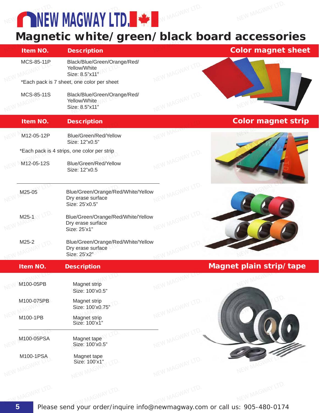**NEW MAGWAY LTD.** NEW MAGWAY LTD. WE AN MAGYMEY LTD.

# Magnetic white/green/black board accessories<br>New Magnet in tem NO. Description Description

| Item NO.          | <b>Description</b>                                                        |                 | <b>Color magnet sheet</b> |
|-------------------|---------------------------------------------------------------------------|-----------------|---------------------------|
| <b>MCS-85-11P</b> | Black/Blue/Green/Orange/Red/<br>Yellow/White<br>Size: 8.5"x11"            | NEW MAGWAY      |                           |
|                   | *Each pack is 7 sheet, one color per sheet                                |                 |                           |
| MCS-85-11S        | Black/Blue/Green/Orange/Red/<br>Yellow/White<br>Size: 8.5"x11"            | NEW MAGWAY LTD. |                           |
| Item NO.          | <b>Description</b>                                                        |                 | <b>Color magnet strip</b> |
| M12-05-12P        | Blue/Green/Red/Yellow<br>Size: 12"x0.5"                                   |                 |                           |
|                   | *Each pack is 4 strips, one color per strip                               |                 |                           |
| M12-05-12S        | Blue/Green/Red/Yellow<br>Size: 12"x0.5                                    | NEW MAGWAY LTD. |                           |
| M25-05            | Blue/Green/Orange/Red/White/Yellow<br>Dry erase surface<br>Size: 25'x0.5" |                 |                           |
| $M25-1$           | Blue/Green/Orange/Red/White/Yellow<br>Dry erase surface<br>Size: 25'x1"   |                 |                           |
| M25-2             | Blue/Green/Orange/Red/White/Yellow<br>Dry erase surface<br>Size: 25'x2"   |                 |                           |
| Item NO.          | <b>Description</b>                                                        |                 | Magnet plain strip/tape   |
| M100-05PB         | Magnet strip<br>Size: 100'x0.5"                                           | NEW MAGWAY      |                           |
| M100-075PB        | Magnet strip<br>Size: 100'x0.75"                                          | NEW MAGWAY LTD. |                           |
| M100-1PB          | Magnet strip<br>Size: 100'x1"                                             |                 |                           |
| M100-05PSA        | Magnet tape<br>Size: 100'x0.5"                                            | NEW MAGWAY      |                           |
| M100-1PSA         | Magnet tape<br>Size: 100'x1"<br>ITD.                                      | NEW MAGWAY LTD. |                           |
| NEW MAGWAY        | NEW MAGWAY                                                                |                 | NEW MAGWI                 |

Please send your order/inquire info@newmagway.com or call us: 905-480-0174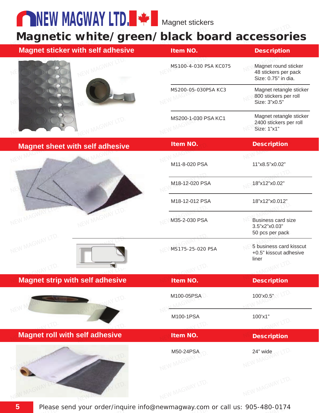**NEW MAGWAY LID. THE Magnet stickers** 

### Magnetic white/green/black board accessories Magnetic white/green/black board accessori

| <b>Magnet sticker with self adhesive</b> | Item NO.              | <b>Description</b>                                                  |
|------------------------------------------|-----------------------|---------------------------------------------------------------------|
|                                          | MS100-4-030 PSA KC075 | Magnet round sticker<br>48 stickers per pack<br>Size: 0.75" in dia. |
|                                          | MS200-05-030PSA KC3   | Magnet retangle sticker<br>800 stickers per roll<br>Size: 3"x0.5"   |
|                                          | MS200-1-030 PSA KC1   | Magnet retangle sticker<br>2400 stickers per roll<br>Size: 1"x1"    |
| <b>Magnet sheet with self adhesive</b>   | Item NO.              | <b>Description</b>                                                  |
|                                          |                       |                                                                     |
|                                          | M11-8-020 PSA         | 11"x8.5"x0.02"                                                      |
|                                          | M18-12-020 PSA        | 18"x12"x0.02"                                                       |
|                                          | M18-12-012 PSA        | 18"x12"x0.012"                                                      |
| MAGWAY                                   | M35-2-030 PSA         | <b>Business card size</b><br>3.5"x2"x0.03"<br>50 pcs per pack       |
| NEW MAGWAY LTD.                          | MS175-25-020 PSA      | 5 business card kisscut<br>+0.5" kisscut adhesive<br>liner          |
| <b>GNAY LTD.</b>                         |                       |                                                                     |
| <b>Magnet strip with self adhesive</b>   | Item NO.              | <b>Description</b>                                                  |
|                                          | M100-05PSA            | TV.<br>100'x0.5"                                                    |
|                                          |                       |                                                                     |
| TV.                                      | M100-1PSA<br>117D     | 100'x1"<br>IAY LTD.                                                 |
| <b>Magnet roll with self adhesive</b>    | Item NO.              | <b>Description</b>                                                  |
|                                          | M50-24PSA             | 24" wide<br>Y LTD.<br>NEW MAGWAY                                    |
|                                          | NEW MAGWAY            |                                                                     |
|                                          | NEW MAGWAY LTD.       | NEW MAGWAY LTD.                                                     |

 $\overline{\phantom{a}}$   $\overline{\phantom{a}}$   $\overline{\phantom{a}}$   $\overline{\phantom{a}}$   $\overline{\phantom{a}}$   $\overline{\phantom{a}}$   $\overline{\phantom{a}}$   $\overline{\phantom{a}}$   $\overline{\phantom{a}}$   $\overline{\phantom{a}}$   $\overline{\phantom{a}}$   $\overline{\phantom{a}}$   $\overline{\phantom{a}}$   $\overline{\phantom{a}}$   $\overline{\phantom{a}}$   $\overline{\phantom{a}}$   $\overline{\phantom{a}}$   $\overline{\phantom{a}}$   $\overline{\$  $\mathcal{L}$ Please send your order/inquire info@newmagway.com or call us: 905-480-0174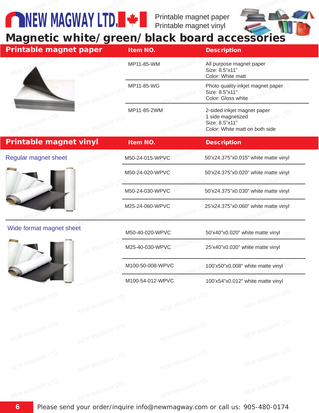Printable magnet paper Printable magnet vinyl  $\epsilon^{\rm SNR}$ <sup>CMAY LTD.</sup><br>Fintable magnet



# **NEW MAUWAT LTD. THE Printable magnet vinyl<br>Magnetic white/green/black board accessories**

**NEW MAGWAY LTD.** 

| <b>Printable magnet paper</b> |                  | Item NO.         | <b>Description</b>                                                                                   |
|-------------------------------|------------------|------------------|------------------------------------------------------------------------------------------------------|
|                               |                  | MP11-85-WM       | All purpose magnet paper<br>Size: 8.5"x11"<br>Color: White matt                                      |
|                               |                  | MP11-85-WG       | Photo quality inkjet magnet paper<br>Size: 8.5"x11"<br>Color: Gloss white                            |
|                               |                  | MP11-85-2WM      | 2-sided inkjet magnet paper<br>1 side magnetized<br>Size: 8.5"x11"<br>Color: White matt on both side |
| <b>Printable magnet vinyl</b> |                  | <b>Item NO.</b>  | <b>Description</b>                                                                                   |
| Regular magnet sheet          |                  | M50-24-015-WPVC  | 50'x24.375"x0.015" white matte vinyl                                                                 |
|                               |                  | M50-24-020-WPVC  | 50'x24.375"x0.020" white matte vinyl                                                                 |
|                               |                  | M50-24-030-WPVC  | 50'x24.375"x0.030" white matte vinyl                                                                 |
|                               |                  | M25-24-060-WPVC  | 25'x24.375"x0.060" white matte vinyl                                                                 |
| Wide format magnet sheet      |                  | M50-40-020-WPVC  | 50'x40"x0.020" white matte vinyl                                                                     |
|                               |                  | M25-40-030-WPVC  | 25'x40"x0.030" white matte vinyl                                                                     |
|                               |                  | M100-50-008-WPVC | 100'x50"x0.008" white matte vinyl                                                                    |
|                               | <b>MEN</b> NY    | M100-54-012-WPVC | 100'x54"x0.012" white matte vinyl                                                                    |
| NEW MAGWAY LTD.               | NEW MAGWAY LTD.  | NEW MAGWAY LTD.  | NEW MAGWAY LTD.                                                                                      |
| NEW MAGWAY LTD.               | NEW MAGWAY LTD.  | NEW MAGWAY LTD.  | NEW MAGWAY LTD.                                                                                      |
| NEW MAGWAY LTD.               | NEW MAGWAY LTD.  | NEW MAGWAY LTD.  | NEW MAGWAY LTD.                                                                                      |
| NEW MAGNAY LTD.               | VIEW MAGWAY LTD. | NEW MAGNAY LTD.  | NEW MAGWAY LTD.                                                                                      |

Please send your order/inquire info@newmagway.com or call us: 905-480-0174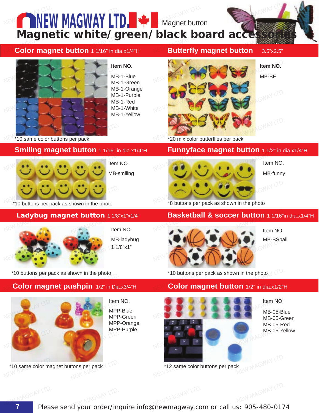

Please send your order/inquire info@newmagway.com or call us: 905-480-0174